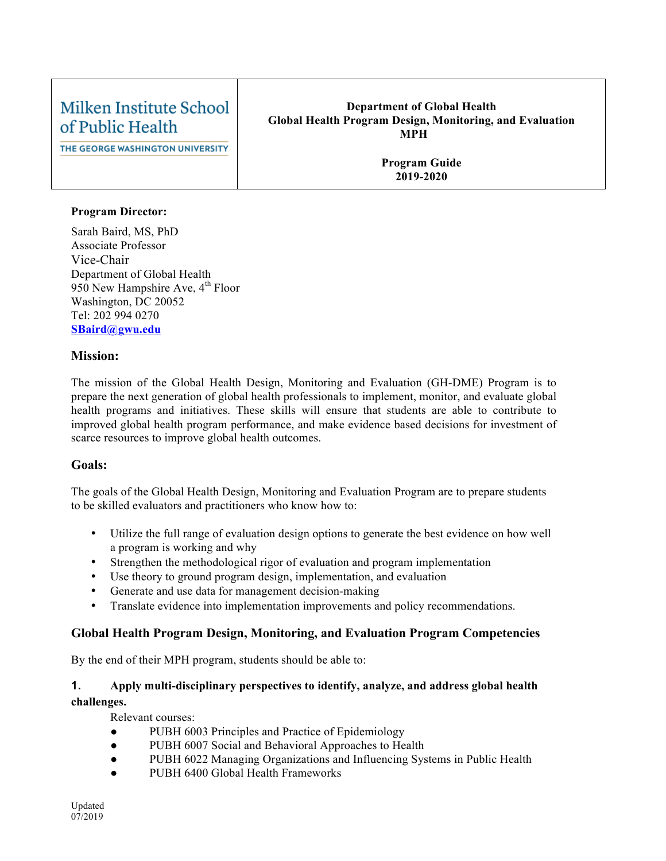#### Milken Institute School **Department of Global Health Global Health Program Design, Monitoring, and Evaluation** of Public Health **MPH**  THE GEORGE WASHINGTON UNIVERSITY **Program Guide 2019-2020**

### **Program Director:**

Sarah Baird, MS, PhD Associate Professor Vice-Chair Department of Global Health 950 New Hampshire Ave,  $4<sup>th</sup>$  Floor Washington, DC 20052 Tel: 202 994 0270 **SBaird@gwu.edu**

### **Mission:**

The mission of the Global Health Design, Monitoring and Evaluation (GH-DME) Program is to prepare the next generation of global health professionals to implement, monitor, and evaluate global health programs and initiatives. These skills will ensure that students are able to contribute to improved global health program performance, and make evidence based decisions for investment of scarce resources to improve global health outcomes.

### **Goals:**

The goals of the Global Health Design, Monitoring and Evaluation Program are to prepare students to be skilled evaluators and practitioners who know how to:

- Utilize the full range of evaluation design options to generate the best evidence on how well a program is working and why
- Strengthen the methodological rigor of evaluation and program implementation
- Use theory to ground program design, implementation, and evaluation
- Generate and use data for management decision-making
- Translate evidence into implementation improvements and policy recommendations.

### **Global Health Program Design, Monitoring, and Evaluation Program Competencies**

By the end of their MPH program, students should be able to:

### **1. Apply multi-disciplinary perspectives to identify, analyze, and address global health challenges.**

Relevant courses:

- PUBH 6003 Principles and Practice of Epidemiology
- PUBH 6007 Social and Behavioral Approaches to Health
- PUBH 6022 Managing Organizations and Influencing Systems in Public Health
- PUBH 6400 Global Health Frameworks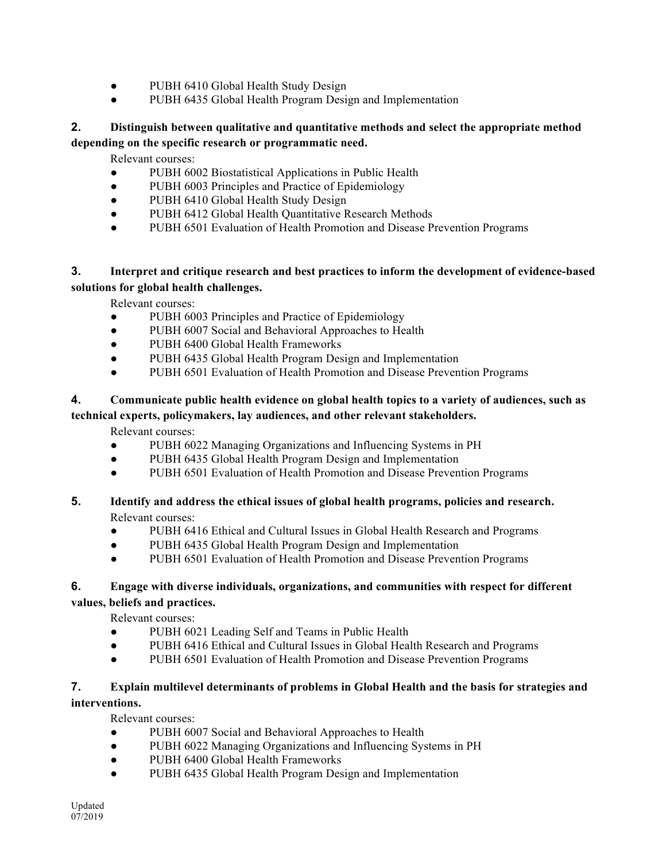- PUBH 6410 Global Health Study Design
- PUBH 6435 Global Health Program Design and Implementation

### **2. Distinguish between qualitative and quantitative methods and select the appropriate method depending on the specific research or programmatic need.**

Relevant courses:

- PUBH 6002 Biostatistical Applications in Public Health
- PUBH 6003 Principles and Practice of Epidemiology
- PUBH 6410 Global Health Study Design
- PUBH 6412 Global Health Quantitative Research Methods
- PUBH 6501 Evaluation of Health Promotion and Disease Prevention Programs

### **3. Interpret and critique research and best practices to inform the development of evidence-based solutions for global health challenges.**

Relevant courses:

- PUBH 6003 Principles and Practice of Epidemiology
- PUBH 6007 Social and Behavioral Approaches to Health
- PUBH 6400 Global Health Frameworks
- PUBH 6435 Global Health Program Design and Implementation
- PUBH 6501 Evaluation of Health Promotion and Disease Prevention Programs

### **4. Communicate public health evidence on global health topics to a variety of audiences, such as technical experts, policymakers, lay audiences, and other relevant stakeholders.**

Relevant courses:

- PUBH 6022 Managing Organizations and Influencing Systems in PH
- PUBH 6435 Global Health Program Design and Implementation
- PUBH 6501 Evaluation of Health Promotion and Disease Prevention Programs
- **5. Identify and address the ethical issues of global health programs, policies and research.** Relevant courses:
	- PUBH 6416 Ethical and Cultural Issues in Global Health Research and Programs
	- PUBH 6435 Global Health Program Design and Implementation
	- PUBH 6501 Evaluation of Health Promotion and Disease Prevention Programs

### **6. Engage with diverse individuals, organizations, and communities with respect for different values, beliefs and practices.**

Relevant courses:

- PUBH 6021 Leading Self and Teams in Public Health
- PUBH 6416 Ethical and Cultural Issues in Global Health Research and Programs
- PUBH 6501 Evaluation of Health Promotion and Disease Prevention Programs

# **7. Explain multilevel determinants of problems in Global Health and the basis for strategies and**

## **interventions.**

Relevant courses:

- PUBH 6007 Social and Behavioral Approaches to Health
- PUBH 6022 Managing Organizations and Influencing Systems in PH
- PUBH 6400 Global Health Frameworks
- PUBH 6435 Global Health Program Design and Implementation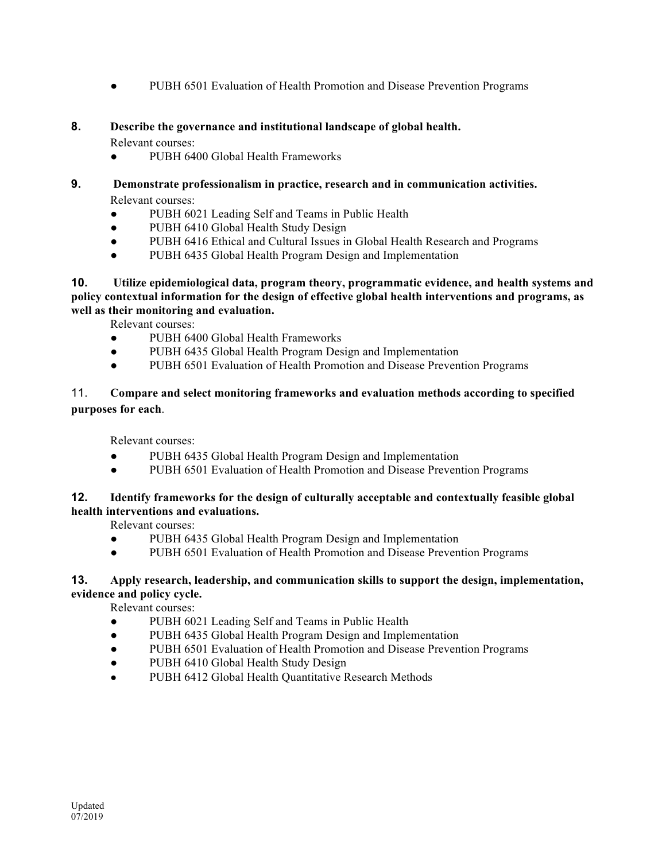● PUBH 6501 Evaluation of Health Promotion and Disease Prevention Programs

### **8. Describe the governance and institutional landscape of global health.**

Relevant courses:

- PUBH 6400 Global Health Frameworks
- **9. Demonstrate professionalism in practice, research and in communication activities.**  Relevant courses:
	- PUBH 6021 Leading Self and Teams in Public Health
	- PUBH 6410 Global Health Study Design
	- PUBH 6416 Ethical and Cultural Issues in Global Health Research and Programs
	- PUBH 6435 Global Health Program Design and Implementation

**10. Utilize epidemiological data, program theory, programmatic evidence, and health systems and policy contextual information for the design of effective global health interventions and programs, as well as their monitoring and evaluation.**

Relevant courses:

- PUBH 6400 Global Health Frameworks
- PUBH 6435 Global Health Program Design and Implementation
- PUBH 6501 Evaluation of Health Promotion and Disease Prevention Programs

### 11. **Compare and select monitoring frameworks and evaluation methods according to specified purposes for each**.

Relevant courses:

- PUBH 6435 Global Health Program Design and Implementation
- PUBH 6501 Evaluation of Health Promotion and Disease Prevention Programs

### **12. Identify frameworks for the design of culturally acceptable and contextually feasible global health interventions and evaluations.**

Relevant courses:

- PUBH 6435 Global Health Program Design and Implementation
- PUBH 6501 Evaluation of Health Promotion and Disease Prevention Programs

### **13. Apply research, leadership, and communication skills to support the design, implementation, evidence and policy cycle.**

Relevant courses:

- PUBH 6021 Leading Self and Teams in Public Health
- PUBH 6435 Global Health Program Design and Implementation
- PUBH 6501 Evaluation of Health Promotion and Disease Prevention Programs
- PUBH 6410 Global Health Study Design
- PUBH 6412 Global Health Quantitative Research Methods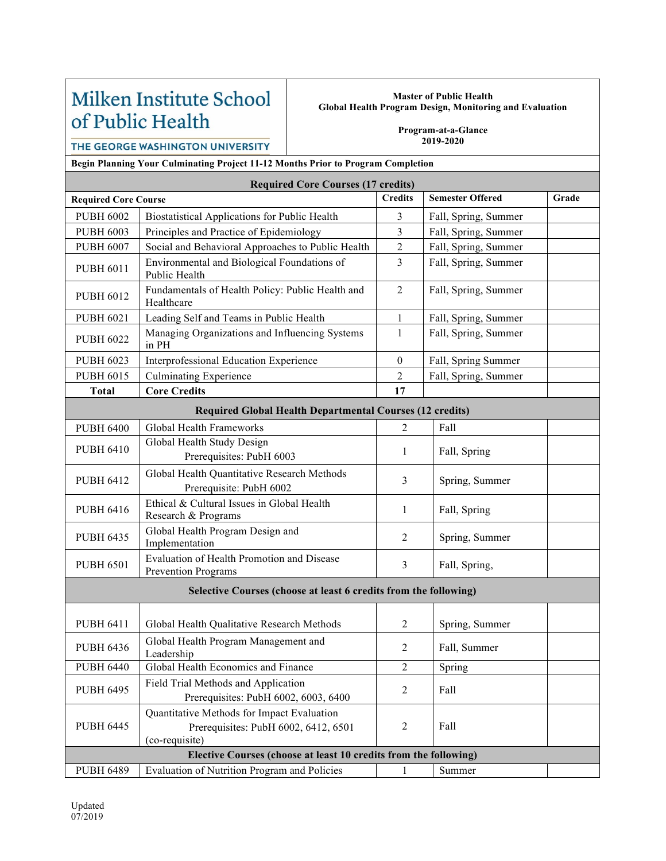# Milken Institute School of Public Health

#### **Master of Public Health Global Health Program Design, Monitoring and Evaluation**

**Program-at-a-Glance 2019-2020**

THE GEORGE WASHINGTON UNIVERSITY

**Begin Planning Your Culminating Project 11-12 Months Prior to Program Completion**

| <b>Required Core Courses (17 credits)</b>                        |                                                                                                      |                  |                         |       |  |  |  |
|------------------------------------------------------------------|------------------------------------------------------------------------------------------------------|------------------|-------------------------|-------|--|--|--|
| <b>Required Core Course</b>                                      |                                                                                                      | <b>Credits</b>   | <b>Semester Offered</b> | Grade |  |  |  |
| <b>PUBH 6002</b>                                                 | Biostatistical Applications for Public Health                                                        | 3                | Fall, Spring, Summer    |       |  |  |  |
| <b>PUBH 6003</b>                                                 | Principles and Practice of Epidemiology                                                              | 3                | Fall, Spring, Summer    |       |  |  |  |
| <b>PUBH 6007</b>                                                 | Social and Behavioral Approaches to Public Health                                                    | 2                | Fall, Spring, Summer    |       |  |  |  |
| <b>PUBH 6011</b>                                                 | Environmental and Biological Foundations of<br>Public Health                                         | $\overline{3}$   | Fall, Spring, Summer    |       |  |  |  |
| <b>PUBH 6012</b>                                                 | Fundamentals of Health Policy: Public Health and<br>Healthcare                                       | $\overline{2}$   | Fall, Spring, Summer    |       |  |  |  |
| <b>PUBH 6021</b>                                                 | Leading Self and Teams in Public Health                                                              | $\mathbf{1}$     | Fall, Spring, Summer    |       |  |  |  |
| <b>PUBH 6022</b>                                                 | Managing Organizations and Influencing Systems<br>in PH                                              | $\mathbf{1}$     | Fall, Spring, Summer    |       |  |  |  |
| <b>PUBH 6023</b>                                                 | Interprofessional Education Experience                                                               | $\boldsymbol{0}$ | Fall, Spring Summer     |       |  |  |  |
| <b>PUBH 6015</b>                                                 | <b>Culminating Experience</b>                                                                        | $\overline{2}$   | Fall, Spring, Summer    |       |  |  |  |
| <b>Total</b>                                                     | <b>Core Credits</b>                                                                                  | 17               |                         |       |  |  |  |
| <b>Required Global Health Departmental Courses (12 credits)</b>  |                                                                                                      |                  |                         |       |  |  |  |
| <b>PUBH 6400</b>                                                 | Global Health Frameworks                                                                             | $\overline{2}$   | Fall                    |       |  |  |  |
| <b>PUBH 6410</b>                                                 | Global Health Study Design<br>Prerequisites: PubH 6003                                               | 1                | Fall, Spring            |       |  |  |  |
| <b>PUBH 6412</b>                                                 | Global Health Quantitative Research Methods<br>Prerequisite: PubH 6002                               | 3                | Spring, Summer          |       |  |  |  |
| <b>PUBH 6416</b>                                                 | Ethical & Cultural Issues in Global Health<br>Research & Programs                                    | 1                | Fall, Spring            |       |  |  |  |
| <b>PUBH 6435</b>                                                 | Global Health Program Design and<br>Implementation                                                   | 2                | Spring, Summer          |       |  |  |  |
| <b>PUBH 6501</b>                                                 | Evaluation of Health Promotion and Disease<br><b>Prevention Programs</b>                             | $\overline{3}$   | Fall, Spring,           |       |  |  |  |
| Selective Courses (choose at least 6 credits from the following) |                                                                                                      |                  |                         |       |  |  |  |
| <b>PUBH 6411</b>                                                 | Global Health Qualitative Research Methods                                                           | $\overline{c}$   | Spring, Summer          |       |  |  |  |
| <b>PUBH 6436</b>                                                 | Global Health Program Management and<br>Leadership                                                   | 2                | Fall, Summer            |       |  |  |  |
| <b>PUBH 6440</b>                                                 | Global Health Economics and Finance                                                                  | $\overline{c}$   | Spring                  |       |  |  |  |
| <b>PUBH 6495</b>                                                 | Field Trial Methods and Application<br>Prerequisites: PubH 6002, 6003, 6400                          | $\overline{2}$   | Fall                    |       |  |  |  |
| <b>PUBH 6445</b>                                                 | Quantitative Methods for Impact Evaluation<br>Prerequisites: PubH 6002, 6412, 6501<br>(co-requisite) | $\overline{2}$   | Fall                    |       |  |  |  |
| Elective Courses (choose at least 10 credits from the following) |                                                                                                      |                  |                         |       |  |  |  |
| <b>PUBH 6489</b>                                                 | Evaluation of Nutrition Program and Policies                                                         | 1                | Summer                  |       |  |  |  |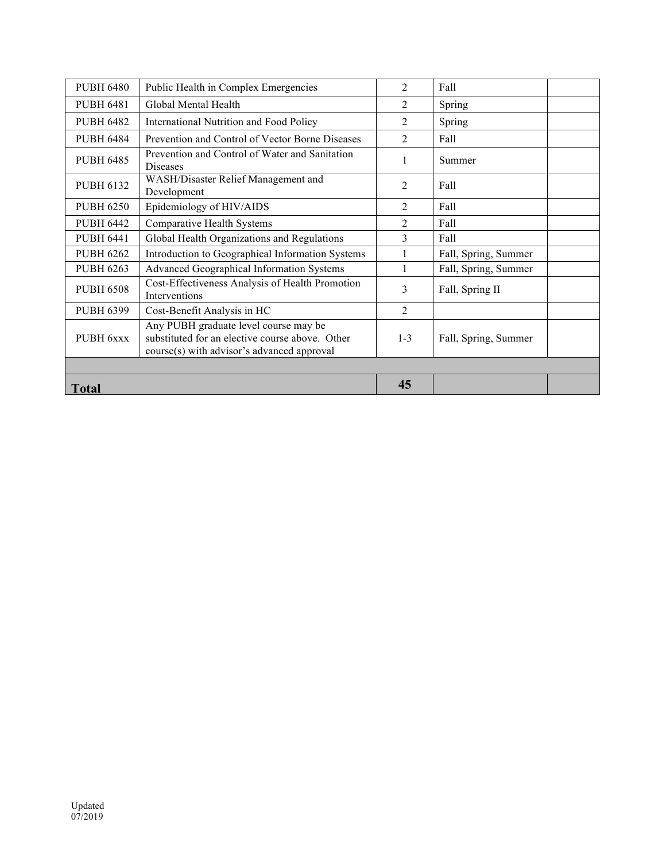| <b>PUBH 6480</b> | Public Health in Complex Emergencies                                                                                                   | $\overline{2}$ | Fall                 |  |  |
|------------------|----------------------------------------------------------------------------------------------------------------------------------------|----------------|----------------------|--|--|
| <b>PUBH 6481</b> | Global Mental Health                                                                                                                   | 2              | Spring               |  |  |
| <b>PUBH 6482</b> | International Nutrition and Food Policy                                                                                                | 2              | Spring               |  |  |
| <b>PUBH 6484</b> | Prevention and Control of Vector Borne Diseases                                                                                        | $\overline{2}$ | Fall                 |  |  |
| <b>PUBH 6485</b> | Prevention and Control of Water and Sanitation<br><b>Diseases</b>                                                                      |                | Summer               |  |  |
| <b>PUBH 6132</b> | WASH/Disaster Relief Management and<br>Development                                                                                     | 2              | Fall                 |  |  |
| <b>PUBH 6250</b> | Epidemiology of HIV/AIDS                                                                                                               | $\mathfrak{D}$ | Fall                 |  |  |
| <b>PUBH 6442</b> | <b>Comparative Health Systems</b>                                                                                                      | 2              | Fall                 |  |  |
| <b>PUBH 6441</b> | Global Health Organizations and Regulations                                                                                            | 3              | Fall                 |  |  |
| <b>PUBH 6262</b> | Introduction to Geographical Information Systems                                                                                       |                | Fall, Spring, Summer |  |  |
| <b>PUBH 6263</b> | Advanced Geographical Information Systems                                                                                              |                | Fall, Spring, Summer |  |  |
| <b>PUBH 6508</b> | Cost-Effectiveness Analysis of Health Promotion<br>Interventions                                                                       | 3              | Fall, Spring II      |  |  |
| <b>PUBH 6399</b> | Cost-Benefit Analysis in HC                                                                                                            | $\overline{2}$ |                      |  |  |
| PUBH 6xxx        | Any PUBH graduate level course may be<br>substituted for an elective course above. Other<br>course(s) with advisor's advanced approval | $1 - 3$        | Fall, Spring, Summer |  |  |
|                  |                                                                                                                                        |                |                      |  |  |
| <b>Total</b>     |                                                                                                                                        | 45             |                      |  |  |